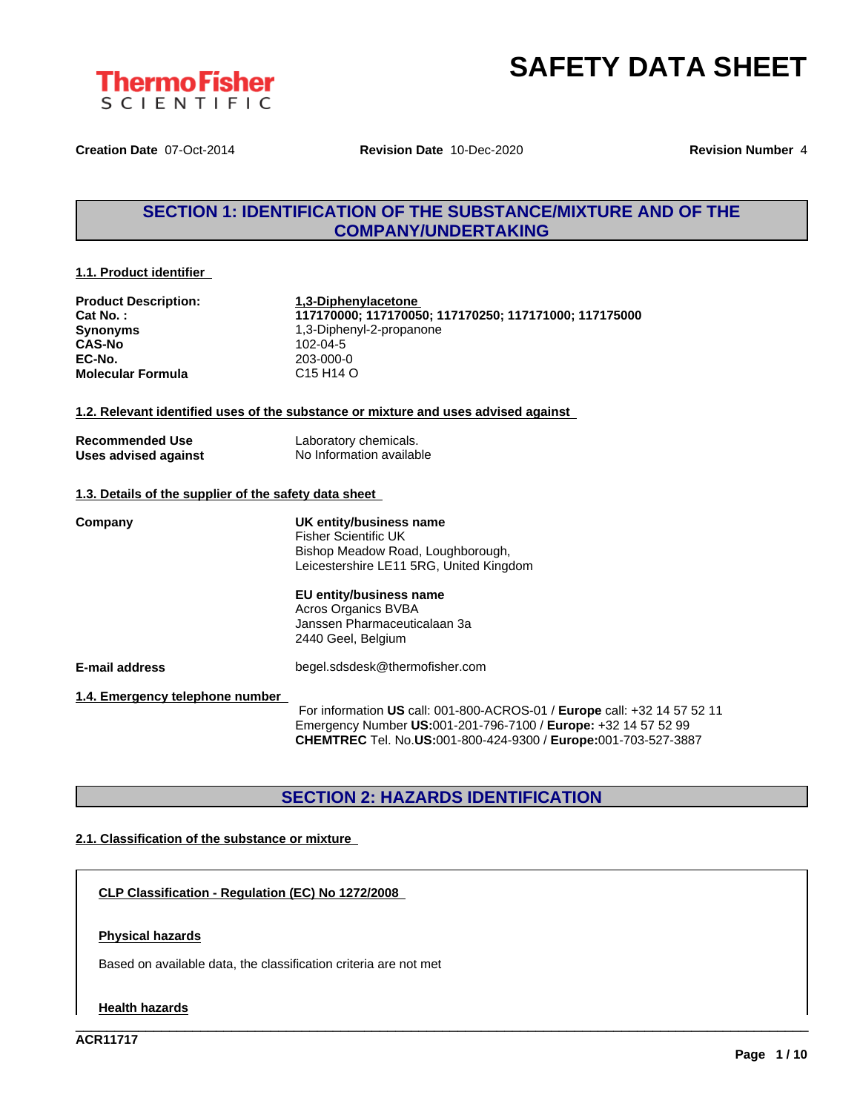

**Creation Date** 07-Oct-2014 **Revision Date** 10-Dec-2020 **Revision Number** 4

### **SECTION 1: IDENTIFICATION OF THE SUBSTANCE/MIXTURE AND OF THE COMPANY/UNDERTAKING**

#### **1.1. Product identifier**

| <b>Product Description:</b> | 1,3-Diphenylacetone                                   |
|-----------------------------|-------------------------------------------------------|
| Cat No.:                    | 117170000; 117170050; 117170250; 117171000; 117175000 |
| <b>Synonyms</b>             | 1,3-Diphenyl-2-propanone                              |
| <b>CAS-No</b>               | 102-04-5                                              |
| EC-No.                      | 203-000-0                                             |
| <b>Molecular Formula</b>    | C <sub>15</sub> H <sub>14</sub> O                     |

#### **1.2. Relevant identified uses of the substance or mixture and uses advised against**

| <b>Recommended Use</b>      | Laboratory chemicals.    |
|-----------------------------|--------------------------|
| <b>Uses advised against</b> | No Information available |

#### **1.3. Details of the supplier of the safety data sheet**

**Company UK entity/business name** Fisher Scientific UK Bishop Meadow Road, Loughborough, Leicestershire LE11 5RG, United Kingdom

### **EU entity/business name** Acros Organics BVBA

Janssen Pharmaceuticalaan 3a 2440 Geel, Belgium

**E-mail address** begel.sdsdesk@thermofisher.com

**1.4. Emergency telephone number**

For information **US** call: 001-800-ACROS-01 / **Europe** call: +32 14 57 52 11 Emergency Number **US:**001-201-796-7100 / **Europe:** +32 14 57 52 99 **CHEMTREC** Tel. No.**US:**001-800-424-9300 / **Europe:**001-703-527-3887

\_\_\_\_\_\_\_\_\_\_\_\_\_\_\_\_\_\_\_\_\_\_\_\_\_\_\_\_\_\_\_\_\_\_\_\_\_\_\_\_\_\_\_\_\_\_\_\_\_\_\_\_\_\_\_\_\_\_\_\_\_\_\_\_\_\_\_\_\_\_\_\_\_\_\_\_\_\_\_\_\_\_\_\_\_\_\_\_\_\_\_\_\_\_

### **SECTION 2: HAZARDS IDENTIFICATION**

#### **2.1. Classification of the substance or mixture**

**CLP Classification - Regulation (EC) No 1272/2008**

#### **Physical hazards**

Based on available data, the classification criteria are not met

#### **Health hazards**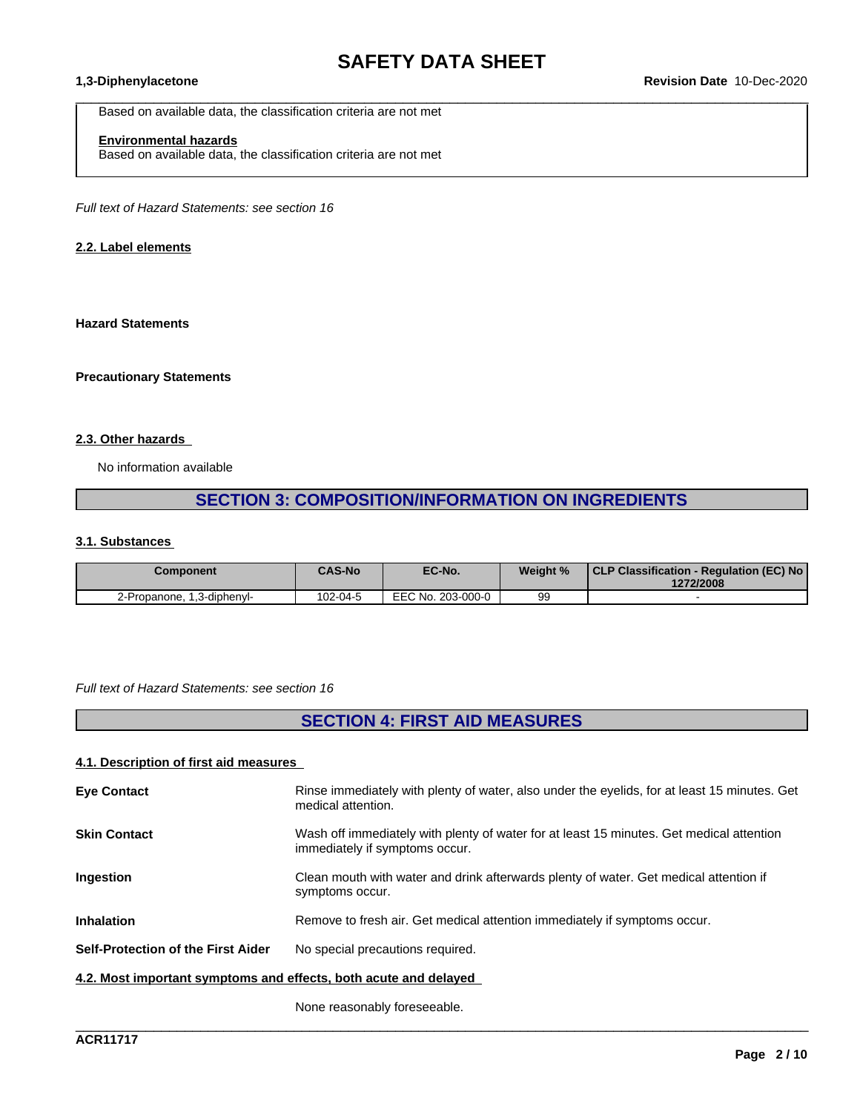$\_$  ,  $\_$  ,  $\_$  ,  $\_$  ,  $\_$  ,  $\_$  ,  $\_$  ,  $\_$  ,  $\_$  ,  $\_$  ,  $\_$  ,  $\_$  ,  $\_$  ,  $\_$  ,  $\_$  ,  $\_$  ,  $\_$  ,  $\_$  ,  $\_$  ,  $\_$  ,  $\_$  ,  $\_$  ,  $\_$  ,  $\_$  ,  $\_$  ,  $\_$  ,  $\_$  ,  $\_$  ,  $\_$  ,  $\_$  ,  $\_$  ,  $\_$  ,  $\_$  ,  $\_$  ,  $\_$  ,  $\_$  ,  $\_$  ,

Based on available data, the classification criteria are not met

### **Environmental hazards**

Based on available data, the classification criteria are not met

*Full text of Hazard Statements: see section 16*

#### **2.2. Label elements**

#### **Hazard Statements**

#### **Precautionary Statements**

#### **2.3. Other hazards**

No information available

### **SECTION 3: COMPOSITION/INFORMATION ON INGREDIENTS**

#### **3.1. Substances**

| <b>Component</b>           | <b>CAS-No</b> | EC-No.            | Weight % | CLP Classification - Regulation (EC) No<br>1272/2008 |
|----------------------------|---------------|-------------------|----------|------------------------------------------------------|
| 2-Propanone, 1,3-diphenyl- | 102-04-5      | EEC No. 203-000-0 | 99       |                                                      |

#### *Full text of Hazard Statements: see section 16*

### **SECTION 4: FIRST AID MEASURES**

#### **4.1. Description of first aid measures**

| <b>Eye Contact</b>                                               | Rinse immediately with plenty of water, also under the eyelids, for at least 15 minutes. Get<br>medical attention.         |  |  |
|------------------------------------------------------------------|----------------------------------------------------------------------------------------------------------------------------|--|--|
| <b>Skin Contact</b>                                              | Wash off immediately with plenty of water for at least 15 minutes. Get medical attention<br>immediately if symptoms occur. |  |  |
| <b>Ingestion</b>                                                 | Clean mouth with water and drink afterwards plenty of water. Get medical attention if<br>symptoms occur.                   |  |  |
| <b>Inhalation</b>                                                | Remove to fresh air. Get medical attention immediately if symptoms occur.                                                  |  |  |
| Self-Protection of the First Aider                               | No special precautions required.                                                                                           |  |  |
| 4.2. Most important symptoms and effects, both acute and delayed |                                                                                                                            |  |  |
|                                                                  |                                                                                                                            |  |  |

\_\_\_\_\_\_\_\_\_\_\_\_\_\_\_\_\_\_\_\_\_\_\_\_\_\_\_\_\_\_\_\_\_\_\_\_\_\_\_\_\_\_\_\_\_\_\_\_\_\_\_\_\_\_\_\_\_\_\_\_\_\_\_\_\_\_\_\_\_\_\_\_\_\_\_\_\_\_\_\_\_\_\_\_\_\_\_\_\_\_\_\_\_\_

None reasonably foreseeable.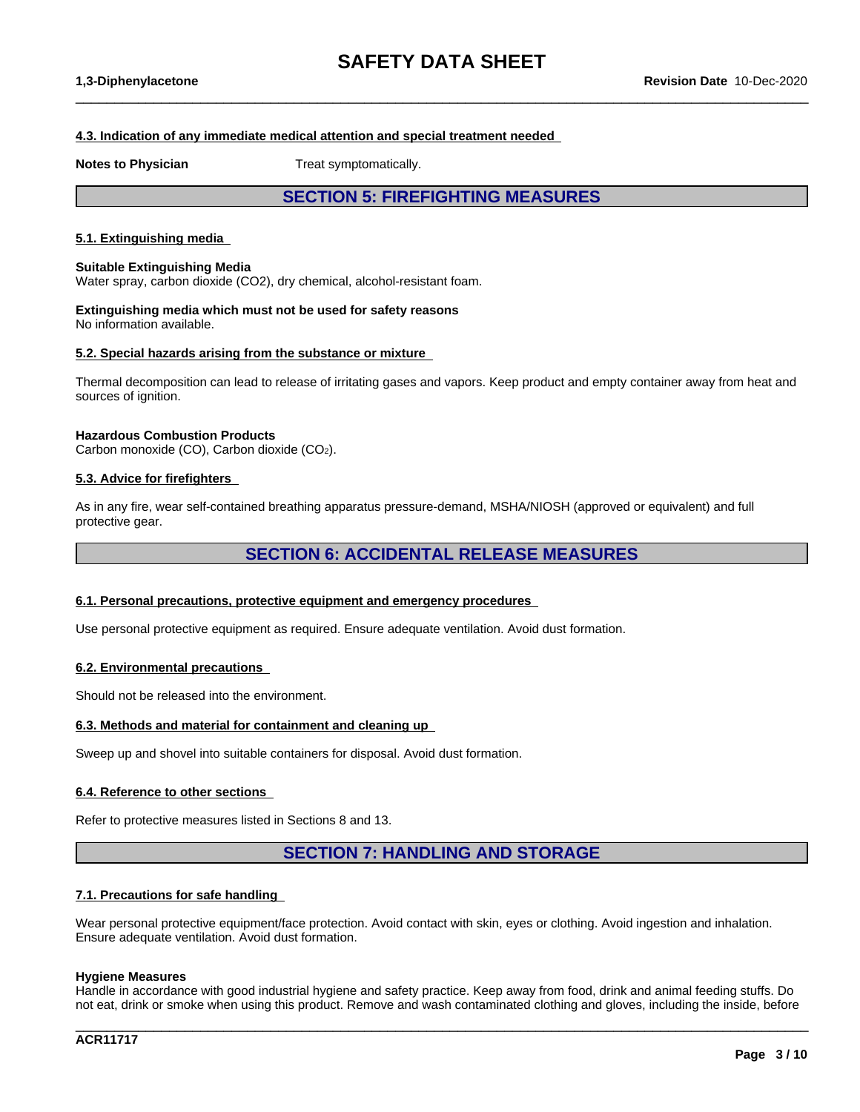$\_$  ,  $\_$  ,  $\_$  ,  $\_$  ,  $\_$  ,  $\_$  ,  $\_$  ,  $\_$  ,  $\_$  ,  $\_$  ,  $\_$  ,  $\_$  ,  $\_$  ,  $\_$  ,  $\_$  ,  $\_$  ,  $\_$  ,  $\_$  ,  $\_$  ,  $\_$  ,  $\_$  ,  $\_$  ,  $\_$  ,  $\_$  ,  $\_$  ,  $\_$  ,  $\_$  ,  $\_$  ,  $\_$  ,  $\_$  ,  $\_$  ,  $\_$  ,  $\_$  ,  $\_$  ,  $\_$  ,  $\_$  ,  $\_$  ,

#### **4.3. Indication of any immediate medical attention and special treatment needed**

**Notes to Physician** Treat symptomatically.

### **SECTION 5: FIREFIGHTING MEASURES**

#### **5.1. Extinguishing media**

#### **Suitable Extinguishing Media**

Water spray, carbon dioxide (CO2), dry chemical, alcohol-resistant foam.

#### **Extinguishing media which must not be used for safety reasons** No information available.

#### **5.2. Special hazards arising from the substance or mixture**

Thermal decomposition can lead to release of irritating gases and vapors. Keep product and empty container away from heat and sources of ignition.

#### **Hazardous Combustion Products**

Carbon monoxide (CO), Carbon dioxide (CO2).

#### **5.3. Advice for firefighters**

As in any fire, wear self-contained breathing apparatus pressure-demand, MSHA/NIOSH (approved or equivalent) and full protective gear.

### **SECTION 6: ACCIDENTAL RELEASE MEASURES**

#### **6.1. Personal precautions, protective equipment and emergency procedures**

Use personal protective equipment as required. Ensure adequate ventilation. Avoid dust formation.

#### **6.2. Environmental precautions**

Should not be released into the environment.

#### **6.3. Methods and material for containment and cleaning up**

Sweep up and shovel into suitable containers for disposal. Avoid dust formation.

#### **6.4. Reference to other sections**

Refer to protective measures listed in Sections 8 and 13.

#### **SECTION 7: HANDLING AND STORAGE**

#### **7.1. Precautions for safe handling**

Wear personal protective equipment/face protection. Avoid contact with skin, eyes or clothing. Avoid ingestion and inhalation. Ensure adequate ventilation. Avoid dust formation.

#### **Hygiene Measures**

Handle in accordance with good industrial hygiene and safety practice. Keep away from food, drink and animal feeding stuffs. Do not eat, drink or smoke when using this product. Remove and wash contaminated clothing and gloves, including the inside, before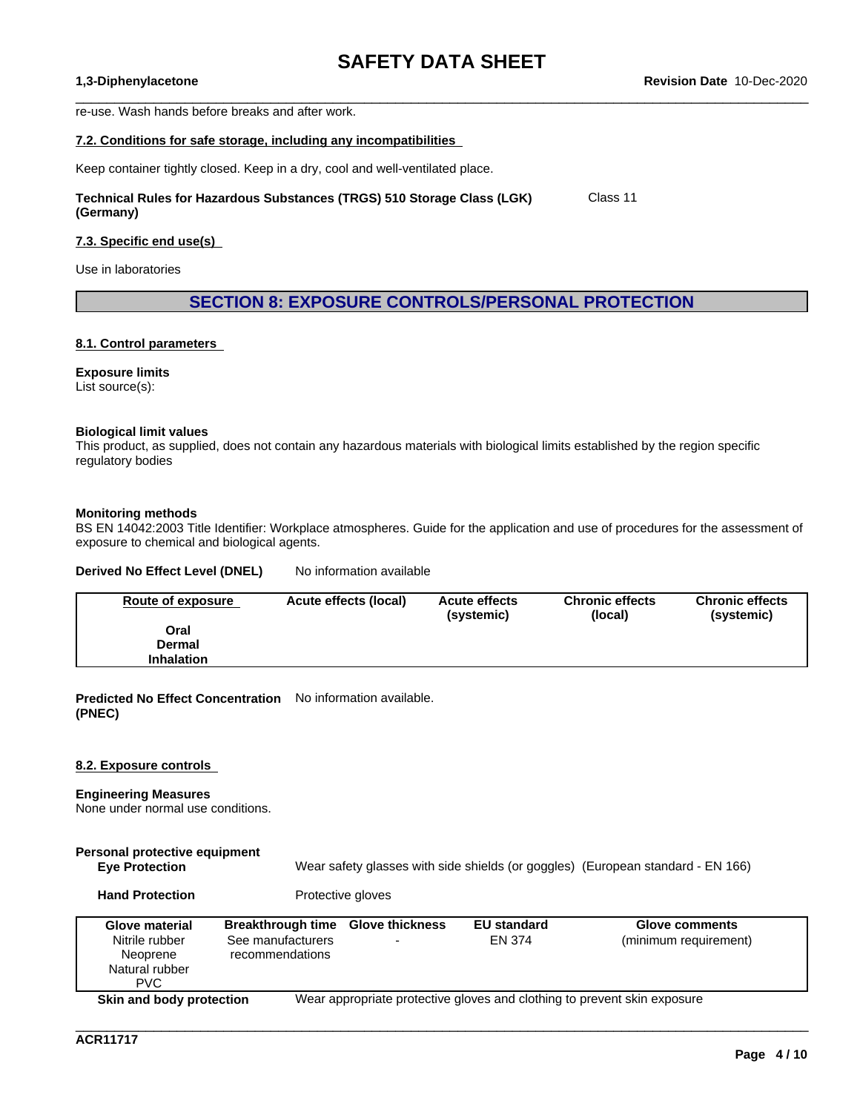$\_$  ,  $\_$  ,  $\_$  ,  $\_$  ,  $\_$  ,  $\_$  ,  $\_$  ,  $\_$  ,  $\_$  ,  $\_$  ,  $\_$  ,  $\_$  ,  $\_$  ,  $\_$  ,  $\_$  ,  $\_$  ,  $\_$  ,  $\_$  ,  $\_$  ,  $\_$  ,  $\_$  ,  $\_$  ,  $\_$  ,  $\_$  ,  $\_$  ,  $\_$  ,  $\_$  ,  $\_$  ,  $\_$  ,  $\_$  ,  $\_$  ,  $\_$  ,  $\_$  ,  $\_$  ,  $\_$  ,  $\_$  ,  $\_$  ,

re-use. Wash hands before breaks and after work.

#### **7.2. Conditions for safe storage, including any incompatibilities**

Keep container tightly closed. Keep in a dry, cool and well-ventilated place.

**Technical Rules for Hazardous Substances (TRGS) 510 Storage Class (LGK) (Germany)** Class 11

#### **7.3. Specific end use(s)**

Use in laboratories

**SECTION 8: EXPOSURE CONTROLS/PERSONAL PROTECTION**

#### **8.1. Control parameters**

#### **Exposure limits**

List source(s):

#### **Biological limit values**

This product, as supplied, does not contain any hazardous materials with biological limits established by the region specific regulatory bodies

#### **Monitoring methods**

BS EN 14042:2003 Title Identifier: Workplace atmospheres. Guide for the application and use of procedures for the assessment of exposure to chemical and biological agents.

#### **Derived No Effect Level (DNEL)** No information available

| Route of exposure | Acute effects (local) | <b>Acute effects</b><br>(systemic) | <b>Chronic effects</b><br>(local) | <b>Chronic effects</b><br>(systemic) |
|-------------------|-----------------------|------------------------------------|-----------------------------------|--------------------------------------|
| Oral              |                       |                                    |                                   |                                      |
| <b>Dermal</b>     |                       |                                    |                                   |                                      |
| <b>Inhalation</b> |                       |                                    |                                   |                                      |

**Predicted No Effect Concentration** No information available. **(PNEC)**

#### **8.2. Exposure controls**

#### **Engineering Measures**

None under normal use conditions.

| Personal protective equipment<br><b>Eye Protection</b>                       |                                                                           |                              | Wear safety glasses with side shields (or goggles) (European standard - EN 166) |
|------------------------------------------------------------------------------|---------------------------------------------------------------------------|------------------------------|---------------------------------------------------------------------------------|
| <b>Hand Protection</b>                                                       | Protective gloves                                                         |                              |                                                                                 |
| Glove material<br>Nitrile rubber<br>Neoprene<br>Natural rubber<br><b>PVC</b> | Breakthrough time Glove thickness<br>See manufacturers<br>recommendations | <b>EU</b> standard<br>EN 374 | Glove comments<br>(minimum requirement)                                         |
| Skin and body protection                                                     |                                                                           |                              | Wear appropriate protective gloves and clothing to prevent skin exposure        |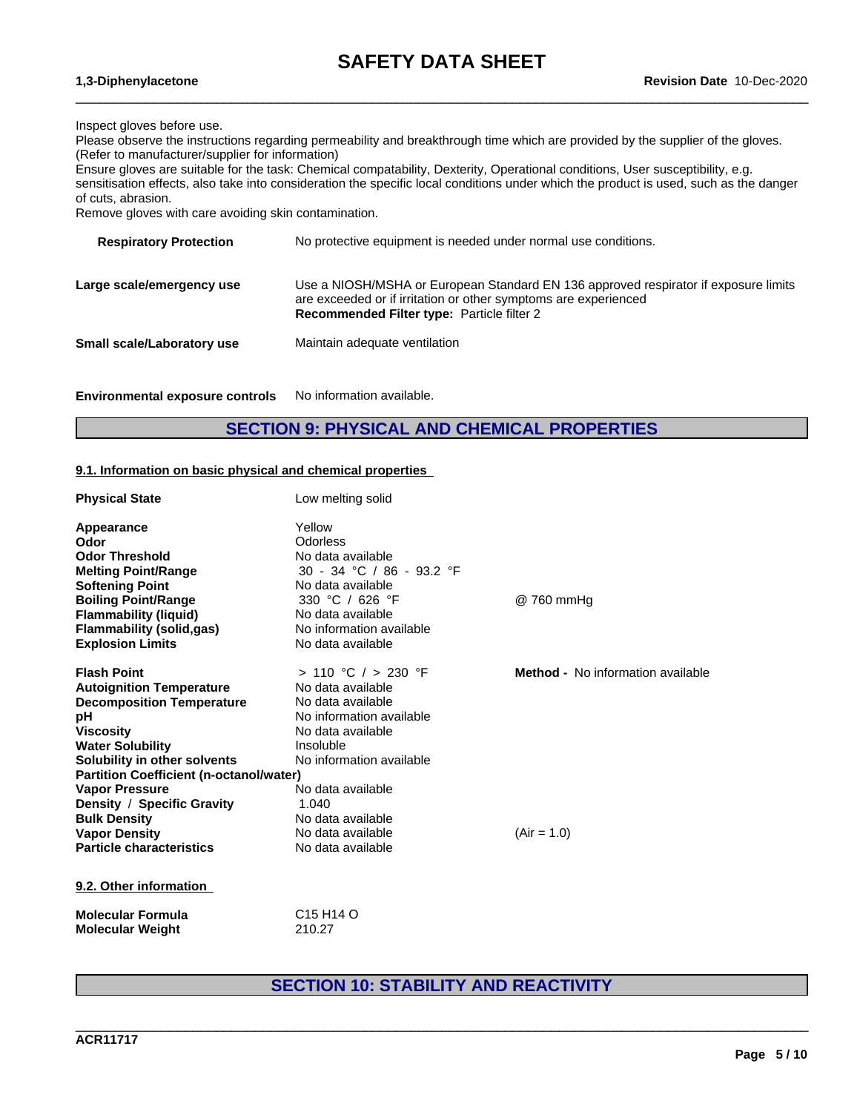$\_$  ,  $\_$  ,  $\_$  ,  $\_$  ,  $\_$  ,  $\_$  ,  $\_$  ,  $\_$  ,  $\_$  ,  $\_$  ,  $\_$  ,  $\_$  ,  $\_$  ,  $\_$  ,  $\_$  ,  $\_$  ,  $\_$  ,  $\_$  ,  $\_$  ,  $\_$  ,  $\_$  ,  $\_$  ,  $\_$  ,  $\_$  ,  $\_$  ,  $\_$  ,  $\_$  ,  $\_$  ,  $\_$  ,  $\_$  ,  $\_$  ,  $\_$  ,  $\_$  ,  $\_$  ,  $\_$  ,  $\_$  ,  $\_$  ,

Inspect gloves before use.

Please observe the instructions regarding permeability and breakthrough time which are provided by the supplier of the gloves. (Refer to manufacturer/supplier for information)

Ensure gloves are suitable for the task: Chemical compatability, Dexterity, Operational conditions, User susceptibility, e.g. sensitisation effects, also take into consideration the specific local conditions under which the product is used, such as the danger of cuts, abrasion.

Remove gloves with care avoiding skin contamination.

| <b>Respiratory Protection</b> | No protective equipment is needed under normal use conditions.                                                                                                                                       |
|-------------------------------|------------------------------------------------------------------------------------------------------------------------------------------------------------------------------------------------------|
| Large scale/emergency use     | Use a NIOSH/MSHA or European Standard EN 136 approved respirator if exposure limits<br>are exceeded or if irritation or other symptoms are experienced<br>Recommended Filter type: Particle filter 2 |
| Small scale/Laboratory use    | Maintain adequate ventilation                                                                                                                                                                        |
|                               |                                                                                                                                                                                                      |

**Environmental exposure controls** No information available.

### **SECTION 9: PHYSICAL AND CHEMICAL PROPERTIES**

#### **9.1. Information on basic physical and chemical properties**

| <b>Physical State</b>                          | Low melting solid                 |                                          |  |
|------------------------------------------------|-----------------------------------|------------------------------------------|--|
| Appearance                                     | Yellow                            |                                          |  |
| Odor                                           | <b>Odorless</b>                   |                                          |  |
| <b>Odor Threshold</b>                          | No data available                 |                                          |  |
| <b>Melting Point/Range</b>                     | 30 - 34 °C / 86 - 93.2 °F         |                                          |  |
| <b>Softening Point</b>                         | No data available                 |                                          |  |
| <b>Boiling Point/Range</b>                     | 330 °C / 626 °F                   | @ 760 mmHg                               |  |
| <b>Flammability (liquid)</b>                   | No data available                 |                                          |  |
| <b>Flammability (solid,gas)</b>                | No information available          |                                          |  |
| <b>Explosion Limits</b>                        | No data available                 |                                          |  |
| <b>Flash Point</b>                             | $> 110$ °C $/ > 230$ °F           | <b>Method -</b> No information available |  |
| <b>Autoignition Temperature</b>                | No data available                 |                                          |  |
| <b>Decomposition Temperature</b>               | No data available                 |                                          |  |
| рH                                             | No information available          |                                          |  |
| <b>Viscosity</b>                               | No data available                 |                                          |  |
| <b>Water Solubility</b>                        | Insoluble                         |                                          |  |
| Solubility in other solvents                   | No information available          |                                          |  |
| <b>Partition Coefficient (n-octanol/water)</b> |                                   |                                          |  |
| <b>Vapor Pressure</b>                          | No data available                 |                                          |  |
| Density / Specific Gravity                     | 1.040                             |                                          |  |
| <b>Bulk Density</b>                            | No data available                 |                                          |  |
| <b>Vapor Density</b>                           | No data available                 | $(Air = 1.0)$                            |  |
| <b>Particle characteristics</b>                | No data available                 |                                          |  |
| 9.2. Other information                         |                                   |                                          |  |
| <b>Molecular Formula</b>                       | C <sub>15</sub> H <sub>14</sub> O |                                          |  |
| <b>Molecular Weight</b>                        | 210.27                            |                                          |  |

### **SECTION 10: STABILITY AND REACTIVITY**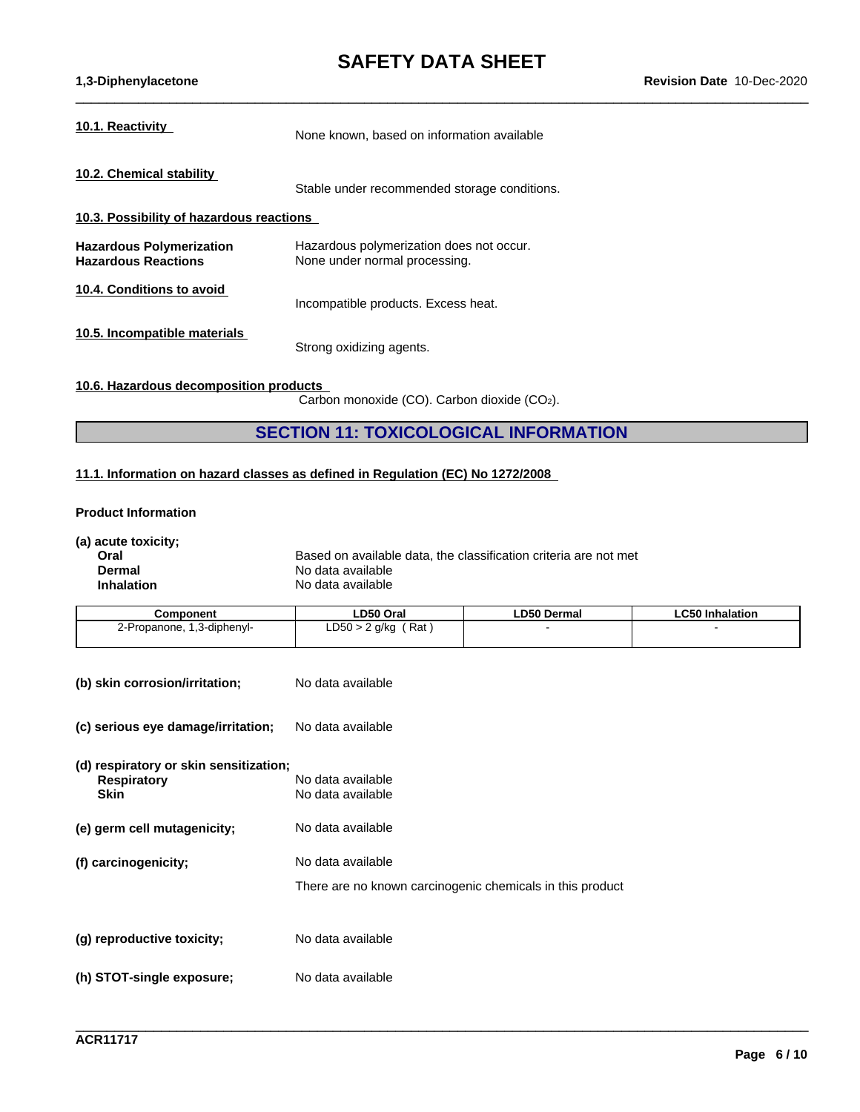| None known, based on information available<br>Stable under recommended storage conditions.<br>Hazardous polymerization does not occur.<br>None under normal processing.<br>Incompatible products. Excess heat.<br>Strong oxidizing agents. |                  |  |  |  |
|--------------------------------------------------------------------------------------------------------------------------------------------------------------------------------------------------------------------------------------------|------------------|--|--|--|
| 10.2. Chemical stability<br>10.3. Possibility of hazardous reactions<br><b>Hazardous Polymerization</b><br><b>Hazardous Reactions</b><br>10.4. Conditions to avoid<br>10.5. Incompatible materials                                         | 10.1. Reactivity |  |  |  |
|                                                                                                                                                                                                                                            |                  |  |  |  |
|                                                                                                                                                                                                                                            |                  |  |  |  |
|                                                                                                                                                                                                                                            |                  |  |  |  |
|                                                                                                                                                                                                                                            |                  |  |  |  |
|                                                                                                                                                                                                                                            |                  |  |  |  |

### **10.6. Hazardous decomposition products**

Carbon monoxide (CO). Carbon dioxide (CO2).

### **SECTION 11: TOXICOLOGICAL INFORMATION**

### **11.1. Information on hazard classes as defined in Regulation (EC) No 1272/2008**

#### **Product Information**

| (a) acute toxicity;<br>Oral<br><b>Dermal</b><br><b>Inhalation</b> | Based on available data, the classification criteria are not met<br>No data available<br>No data available |                    |                        |
|-------------------------------------------------------------------|------------------------------------------------------------------------------------------------------------|--------------------|------------------------|
| Component                                                         | LD50 Oral                                                                                                  | <b>LD50 Dermal</b> | <b>LC50 Inhalation</b> |
| 2-Propanone, 1,3-diphenyl-                                        | LD50 > 2 $g/kg$ (Rat)                                                                                      |                    |                        |
| (b) skin corrosion/irritation;                                    | No data available                                                                                          |                    |                        |
| (c) serious eye damage/irritation;                                | No data available                                                                                          |                    |                        |
| (d) respiratory or skin sensitization;                            |                                                                                                            |                    |                        |
| <b>Respiratory</b>                                                | No data available                                                                                          |                    |                        |
| <b>Skin</b>                                                       | No data available                                                                                          |                    |                        |
| (e) germ cell mutagenicity;                                       | No data available                                                                                          |                    |                        |
| (f) carcinogenicity;                                              | No data available                                                                                          |                    |                        |
|                                                                   | There are no known carcinogenic chemicals in this product                                                  |                    |                        |
|                                                                   |                                                                                                            |                    |                        |
| (g) reproductive toxicity;                                        | No data available                                                                                          |                    |                        |
| (h) STOT-single exposure;                                         | No data available                                                                                          |                    |                        |
|                                                                   |                                                                                                            |                    |                        |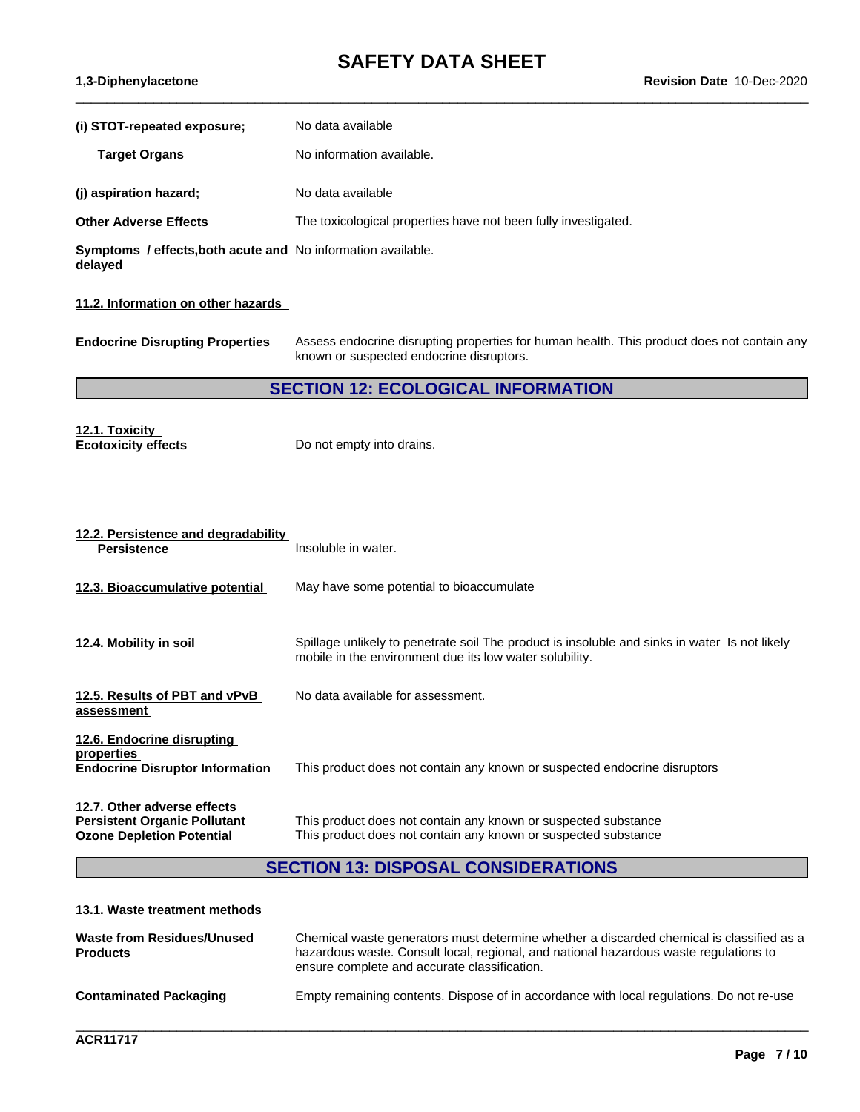$\_$  ,  $\_$  ,  $\_$  ,  $\_$  ,  $\_$  ,  $\_$  ,  $\_$  ,  $\_$  ,  $\_$  ,  $\_$  ,  $\_$  ,  $\_$  ,  $\_$  ,  $\_$  ,  $\_$  ,  $\_$  ,  $\_$  ,  $\_$  ,  $\_$  ,  $\_$  ,  $\_$  ,  $\_$  ,  $\_$  ,  $\_$  ,  $\_$  ,  $\_$  ,  $\_$  ,  $\_$  ,  $\_$  ,  $\_$  ,  $\_$  ,  $\_$  ,  $\_$  ,  $\_$  ,  $\_$  ,  $\_$  ,  $\_$  ,

| (i) STOT-repeated exposure;                                                    | No data available                                              |
|--------------------------------------------------------------------------------|----------------------------------------------------------------|
| <b>Target Organs</b>                                                           | No information available.                                      |
| (j) aspiration hazard;                                                         | No data available                                              |
| <b>Other Adverse Effects</b>                                                   | The toxicological properties have not been fully investigated. |
| <b>Symptoms / effects, both acute and No information available.</b><br>delayed |                                                                |

#### **11.2. Information on other hazards**

**Endocrine Disrupting Properties** Assess endocrine disrupting properties for human health. This product does not contain any known or suspected endocrine disruptors.

### **SECTION 12: ECOLOGICAL INFORMATION**

**12.1. Toxicity**

**Ecotoxicity effects** Do not empty into drains.

| 12.2. Persistence and degradability<br><b>Persistence</b>                                              | Insoluble in water.                                                                                                                                      |
|--------------------------------------------------------------------------------------------------------|----------------------------------------------------------------------------------------------------------------------------------------------------------|
| 12.3. Bioaccumulative potential                                                                        | May have some potential to bioaccumulate                                                                                                                 |
| 12.4. Mobility in soil                                                                                 | Spillage unlikely to penetrate soil The product is insoluble and sinks in water Is not likely<br>mobile in the environment due its low water solubility. |
| 12.5. Results of PBT and vPvB<br>assessment                                                            | No data available for assessment.                                                                                                                        |
| 12.6. Endocrine disrupting<br>properties<br><b>Endocrine Disruptor Information</b>                     | This product does not contain any known or suspected endocrine disruptors                                                                                |
| 12.7. Other adverse effects<br><b>Persistent Organic Pollutant</b><br><b>Ozone Depletion Potential</b> | This product does not contain any known or suspected substance<br>This product does not contain any known or suspected substance                         |

### **SECTION 13: DISPOSAL CONSIDERATIONS**

#### **13.1. Waste treatment methods**

| <b>Waste from Residues/Unused</b><br><b>Products</b> | Chemical waste generators must determine whether a discarded chemical is classified as a<br>hazardous waste. Consult local, regional, and national hazardous waste regulations to<br>ensure complete and accurate classification. |
|------------------------------------------------------|-----------------------------------------------------------------------------------------------------------------------------------------------------------------------------------------------------------------------------------|
| <b>Contaminated Packaging</b>                        | Empty remaining contents. Dispose of in accordance with local regulations. Do not re-use                                                                                                                                          |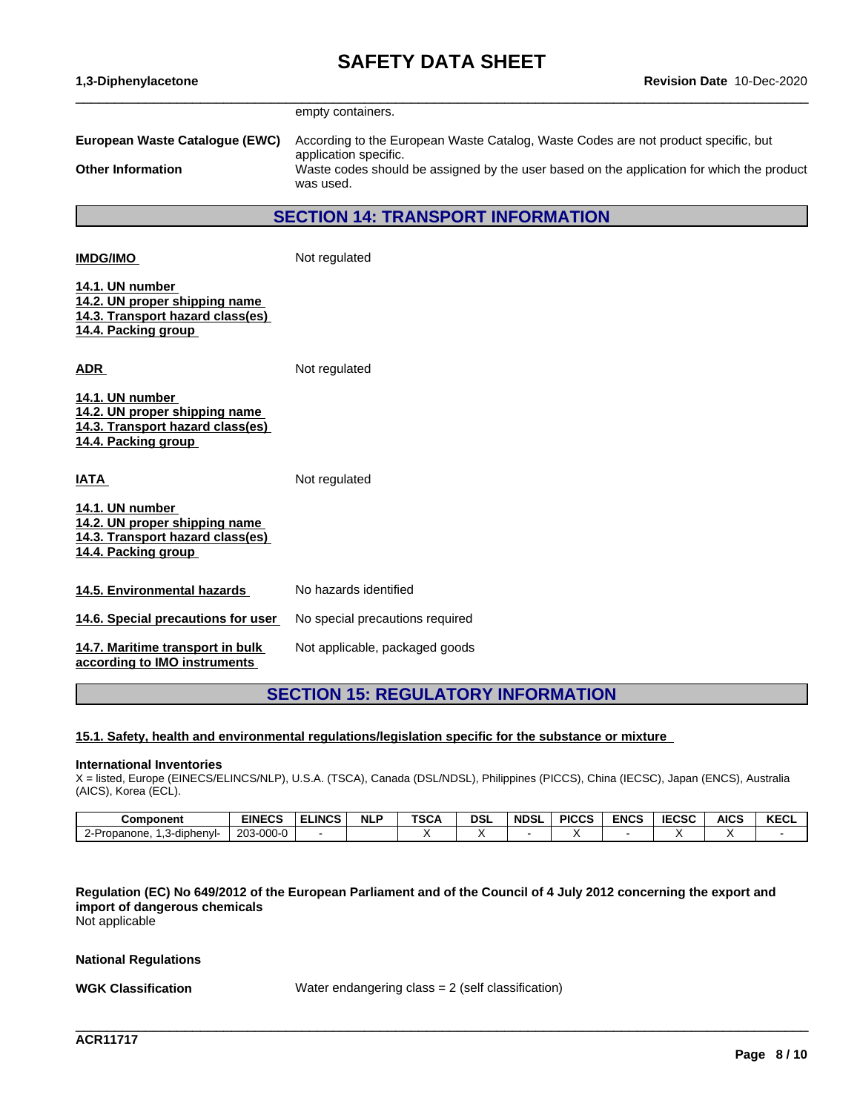|                                                                                                                      | empty containers.                                                                                                               |  |  |  |  |  |
|----------------------------------------------------------------------------------------------------------------------|---------------------------------------------------------------------------------------------------------------------------------|--|--|--|--|--|
| European Waste Catalogue (EWC)<br>According to the European Waste Catalog, Waste Codes are not product specific, but |                                                                                                                                 |  |  |  |  |  |
| <b>Other Information</b>                                                                                             | application specific.<br>Waste codes should be assigned by the user based on the application for which the product<br>was used. |  |  |  |  |  |
|                                                                                                                      | <b>SECTION 14: TRANSPORT INFORMATION</b>                                                                                        |  |  |  |  |  |
| <b>IMDG/IMO</b>                                                                                                      | Not regulated                                                                                                                   |  |  |  |  |  |
| 14.1. UN number<br>14.2. UN proper shipping name<br>14.3. Transport hazard class(es)<br>14.4. Packing group          |                                                                                                                                 |  |  |  |  |  |
| <b>ADR</b>                                                                                                           | Not regulated                                                                                                                   |  |  |  |  |  |
| 14.1. UN number<br>14.2. UN proper shipping name<br>14.3. Transport hazard class(es)<br>14.4. Packing group          |                                                                                                                                 |  |  |  |  |  |
| <b>IATA</b>                                                                                                          | Not regulated                                                                                                                   |  |  |  |  |  |
| 14.1. UN number<br>14.2. UN proper shipping name<br>14.3. Transport hazard class(es)<br>14.4. Packing group          |                                                                                                                                 |  |  |  |  |  |
| 14.5. Environmental hazards                                                                                          | No hazards identified                                                                                                           |  |  |  |  |  |
| 14.6. Special precautions for user                                                                                   | No special precautions required                                                                                                 |  |  |  |  |  |
| 14.7. Maritime transport in bulk<br>according to IMO instruments                                                     | Not applicable, packaged goods                                                                                                  |  |  |  |  |  |
|                                                                                                                      | <b>SECTION 15: REGULATORY INFORMATION</b>                                                                                       |  |  |  |  |  |

#### **15.1. Safety, health and environmental regulations/legislation specific for the substance or mixture**

#### **International Inventories**

X = listed, Europe (EINECS/ELINCS/NLP), U.S.A. (TSCA), Canada (DSL/NDSL), Philippines (PICCS), China (IECSC), Japan (ENCS), Australia (AICS), Korea (ECL).

| Component                 | <b>EINECS</b>   | <b>ELINCS</b> | <b>NLP</b> | TOO.<br>งษ | dsl | <b>NDSI</b> | <b>PICCS</b> | <b>ENCS</b> | rraa<br>76.SL | <b>AICS</b> | <b>KECL</b> |
|---------------------------|-----------------|---------------|------------|------------|-----|-------------|--------------|-------------|---------------|-------------|-------------|
| - diphenvl.<br>Propanone. | $-000-0$<br>203 |               |            |            |     |             |              |             |               |             |             |

Regulation (EC) No 649/2012 of the European Parliament and of the Council of 4 July 2012 concerning the export and **import of dangerous chemicals** Not applicable

#### **National Regulations**

**WGK Classification** Water endangering class = 2 (self classification)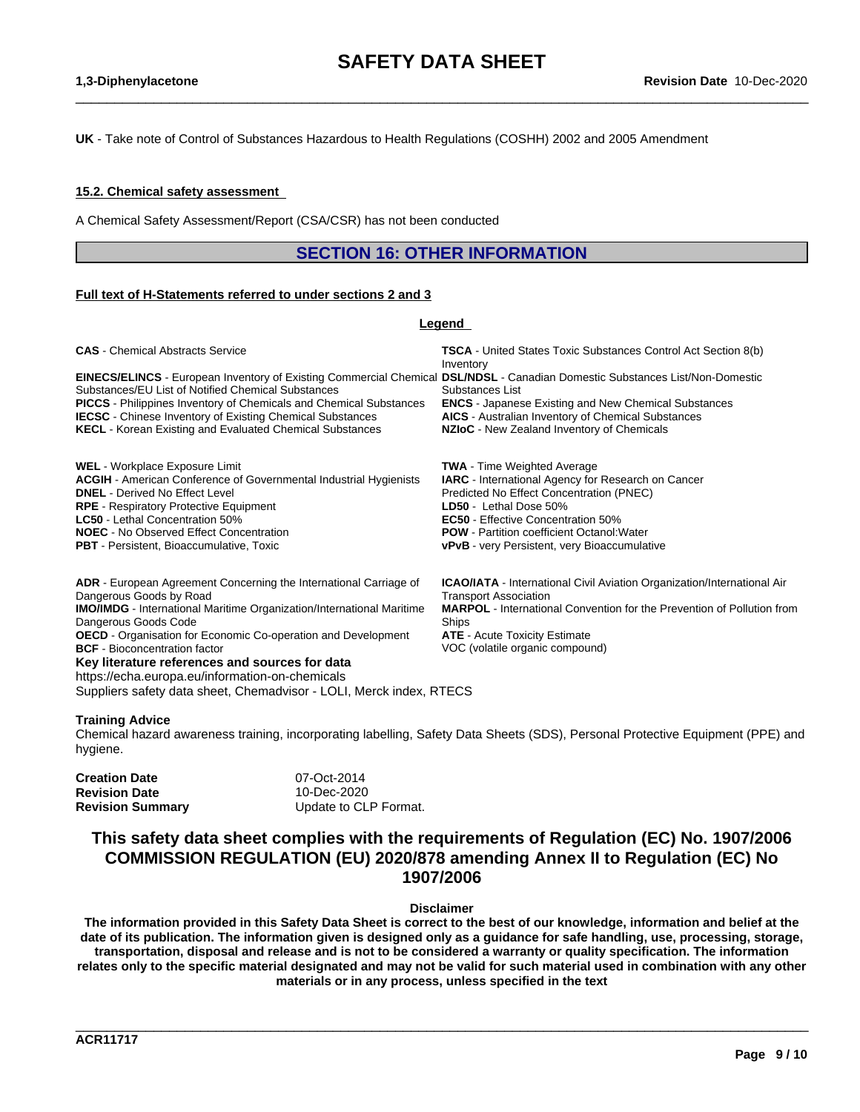$\_$  ,  $\_$  ,  $\_$  ,  $\_$  ,  $\_$  ,  $\_$  ,  $\_$  ,  $\_$  ,  $\_$  ,  $\_$  ,  $\_$  ,  $\_$  ,  $\_$  ,  $\_$  ,  $\_$  ,  $\_$  ,  $\_$  ,  $\_$  ,  $\_$  ,  $\_$  ,  $\_$  ,  $\_$  ,  $\_$  ,  $\_$  ,  $\_$  ,  $\_$  ,  $\_$  ,  $\_$  ,  $\_$  ,  $\_$  ,  $\_$  ,  $\_$  ,  $\_$  ,  $\_$  ,  $\_$  ,  $\_$  ,  $\_$  ,

**UK** - Take note of Control of Substances Hazardous to Health Regulations (COSHH) 2002 and 2005 Amendment

#### **15.2. Chemical safety assessment**

A Chemical Safety Assessment/Report (CSA/CSR) has not been conducted

### **SECTION 16: OTHER INFORMATION**

#### **Full text of H-Statements referred to undersections 2 and 3**

#### **Legend**

| <b>CAS</b> - Chemical Abstracts Service                                                                                                                                            | <b>TSCA</b> - United States Toxic Substances Control Act Section 8(b)<br>Inventory                       |
|------------------------------------------------------------------------------------------------------------------------------------------------------------------------------------|----------------------------------------------------------------------------------------------------------|
| EINECS/ELINCS - European Inventory of Existing Commercial Chemical DSL/NDSL - Canadian Domestic Substances List/Non-Domestic<br>Substances/EU List of Notified Chemical Substances | Substances List                                                                                          |
| <b>PICCS</b> - Philippines Inventory of Chemicals and Chemical Substances                                                                                                          | <b>ENCS</b> - Japanese Existing and New Chemical Substances                                              |
| <b>IECSC</b> - Chinese Inventory of Existing Chemical Substances                                                                                                                   | <b>AICS</b> - Australian Inventory of Chemical Substances                                                |
| <b>KECL</b> - Korean Existing and Evaluated Chemical Substances                                                                                                                    | NZIoC - New Zealand Inventory of Chemicals                                                               |
| <b>WEL</b> - Workplace Exposure Limit                                                                                                                                              | <b>TWA</b> - Time Weighted Average                                                                       |
| <b>ACGIH</b> - American Conference of Governmental Industrial Hygienists                                                                                                           | <b>IARC</b> - International Agency for Research on Cancer                                                |
| <b>DNEL</b> - Derived No Effect Level                                                                                                                                              | Predicted No Effect Concentration (PNEC)                                                                 |
| <b>RPE</b> - Respiratory Protective Equipment                                                                                                                                      | <b>LD50</b> - Lethal Dose 50%                                                                            |
| <b>LC50</b> - Lethal Concentration 50%                                                                                                                                             | <b>EC50</b> - Effective Concentration 50%                                                                |
| <b>NOEC</b> - No Observed Effect Concentration<br><b>PBT</b> - Persistent, Bioaccumulative, Toxic                                                                                  | <b>POW</b> - Partition coefficient Octanol: Water<br><b>vPvB</b> - very Persistent, very Bioaccumulative |
|                                                                                                                                                                                    |                                                                                                          |
| <b>ADR</b> - European Agreement Concerning the International Carriage of                                                                                                           | <b>ICAO/IATA</b> - International Civil Aviation Organization/International Air                           |
| Dangerous Goods by Road                                                                                                                                                            | <b>Transport Association</b>                                                                             |
| <b>IMO/IMDG</b> - International Maritime Organization/International Maritime                                                                                                       | <b>MARPOL</b> - International Convention for the Prevention of Pollution from                            |
| Dangerous Goods Code                                                                                                                                                               | Ships                                                                                                    |
| <b>OECD</b> - Organisation for Economic Co-operation and Development                                                                                                               | <b>ATE</b> - Acute Toxicity Estimate                                                                     |

**BCF** - Bioconcentration factor **VOC** (volatile organic compound)

**Key literature references and sources for data** https://echa.europa.eu/information-on-chemicals

Suppliers safety data sheet, Chemadvisor - LOLI, Merck index, RTECS

#### **Training Advice**

Chemical hazard awareness training, incorporating labelling, Safety Data Sheets (SDS), Personal Protective Equipment (PPE) and hygiene.

| Creation Date    | 07-Oct-2014           |
|------------------|-----------------------|
| Revision Date    | 10-Dec-2020           |
| Revision Summary | Update to CLP Format. |

### **This safety data sheet complies with the requirements of Regulation (EC) No. 1907/2006 COMMISSION REGULATION (EU) 2020/878 amending Annex II to Regulation (EC) No 1907/2006**

**Disclaimer**

The information provided in this Safety Data Sheet is correct to the best of our knowledge, information and belief at the date of its publication. The information given is designed only as a guidance for safe handling, use, processing, storage, transportation, disposal and release and is not to be considered a warranty or quality specification. The information relates only to the specific material designated and may not be valid for such material used in combination with any other **materials or in any process, unless specified in the text**